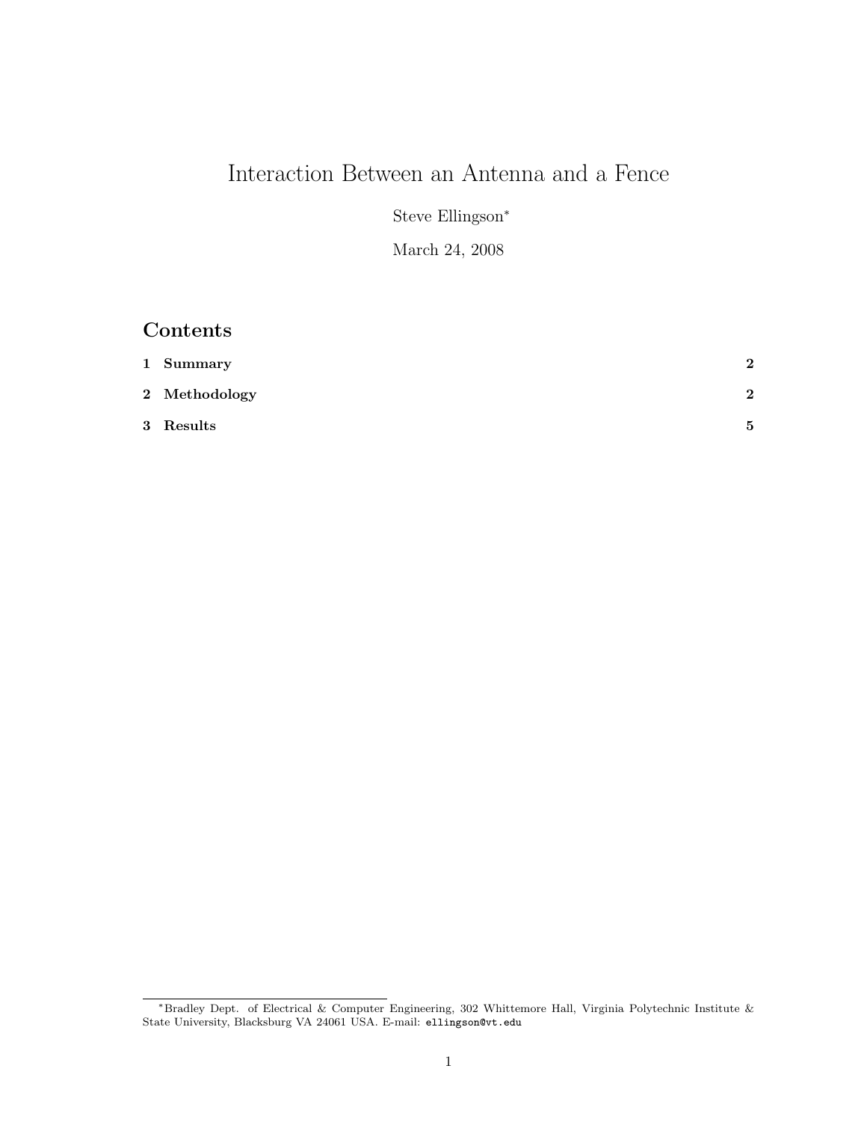# Interaction Between an Antenna and a Fence

Steve Ellingson<sup>∗</sup>

March 24, 2008

### Contents

| 1 Summary     | $\mathbf{2}$ |
|---------------|--------------|
| 2 Methodology | $\mathbf{2}$ |
| $3$ $Results$ | 5            |

<sup>∗</sup>Bradley Dept. of Electrical & Computer Engineering, 302 Whittemore Hall, Virginia Polytechnic Institute & State University, Blacksburg VA 24061 USA. E-mail: ellingson@vt.edu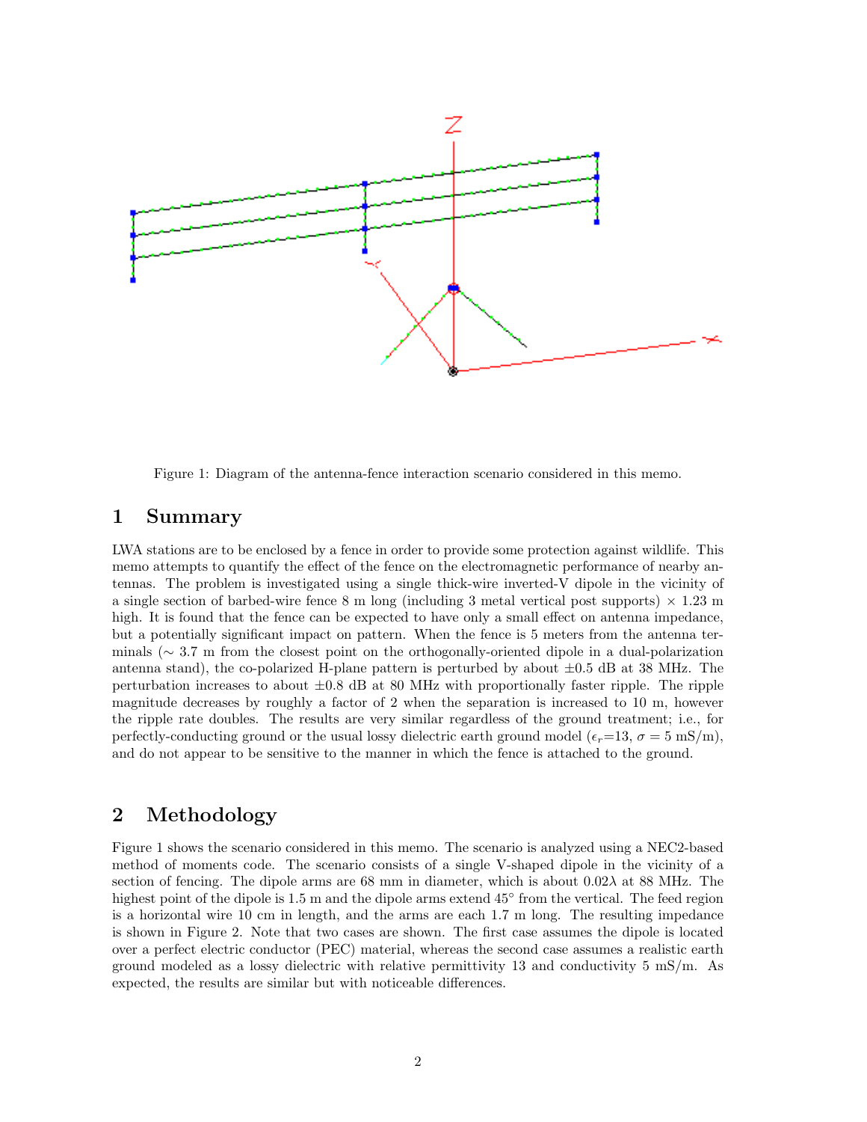

Figure 1: Diagram of the antenna-fence interaction scenario considered in this memo.

#### 1 Summary

LWA stations are to be enclosed by a fence in order to provide some protection against wildlife. This memo attempts to quantify the effect of the fence on the electromagnetic performance of nearby antennas. The problem is investigated using a single thick-wire inverted-V dipole in the vicinity of a single section of barbed-wire fence 8 m long (including 3 metal vertical post supports)  $\times$  1.23 m high. It is found that the fence can be expected to have only a small effect on antenna impedance, but a potentially significant impact on pattern. When the fence is 5 meters from the antenna terminals (∼ 3.7 m from the closest point on the orthogonally-oriented dipole in a dual-polarization antenna stand), the co-polarized H-plane pattern is perturbed by about  $\pm 0.5$  dB at 38 MHz. The perturbation increases to about  $\pm 0.8$  dB at 80 MHz with proportionally faster ripple. The ripple magnitude decreases by roughly a factor of 2 when the separation is increased to 10 m, however the ripple rate doubles. The results are very similar regardless of the ground treatment; i.e., for perfectly-conducting ground or the usual lossy dielectric earth ground model ( $\epsilon_r=13$ ,  $\sigma=5$  mS/m), and do not appear to be sensitive to the manner in which the fence is attached to the ground.

#### 2 Methodology

Figure 1 shows the scenario considered in this memo. The scenario is analyzed using a NEC2-based method of moments code. The scenario consists of a single V-shaped dipole in the vicinity of a section of fencing. The dipole arms are 68 mm in diameter, which is about  $0.02\lambda$  at 88 MHz. The highest point of the dipole is 1.5 m and the dipole arms extend 45° from the vertical. The feed region is a horizontal wire 10 cm in length, and the arms are each 1.7 m long. The resulting impedance is shown in Figure 2. Note that two cases are shown. The first case assumes the dipole is located over a perfect electric conductor (PEC) material, whereas the second case assumes a realistic earth ground modeled as a lossy dielectric with relative permittivity 13 and conductivity  $5 \text{ mS/m}$ . As expected, the results are similar but with noticeable differences.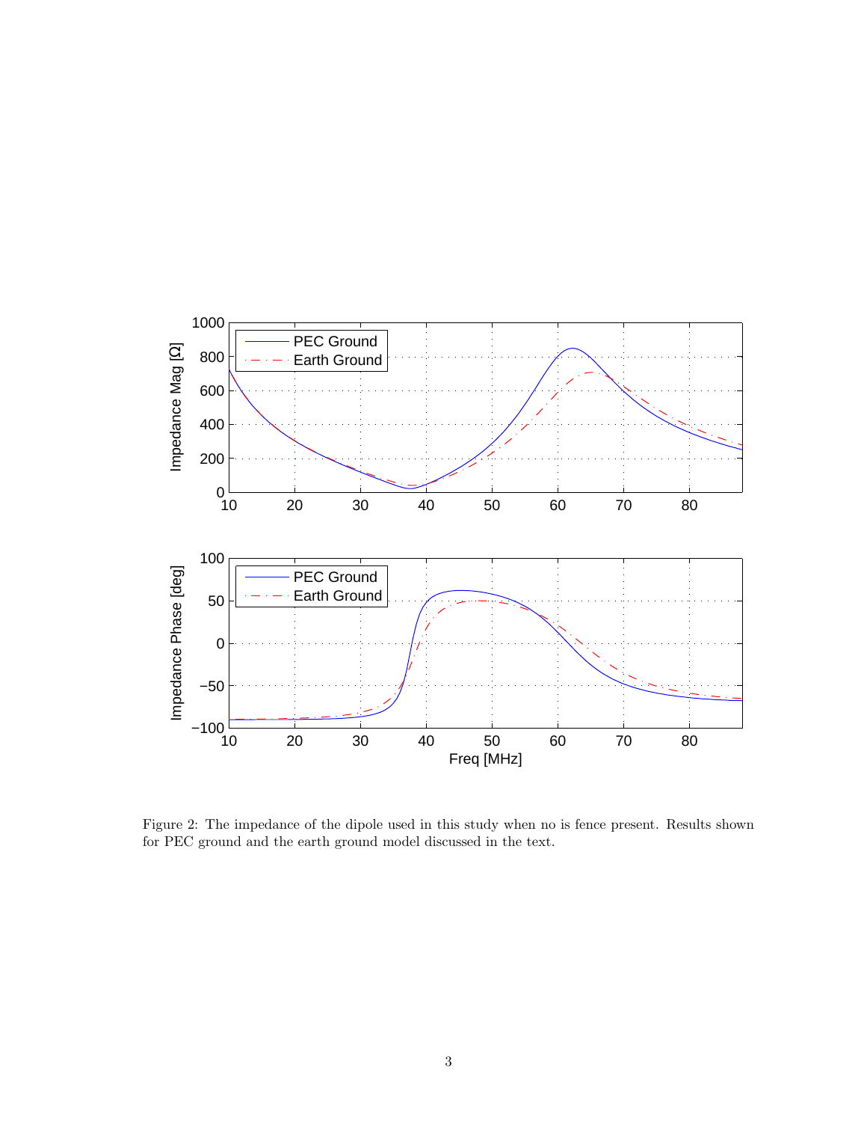

Figure 2: The impedance of the dipole used in this study when no is fence present. Results shown for PEC ground and the earth ground model discussed in the text.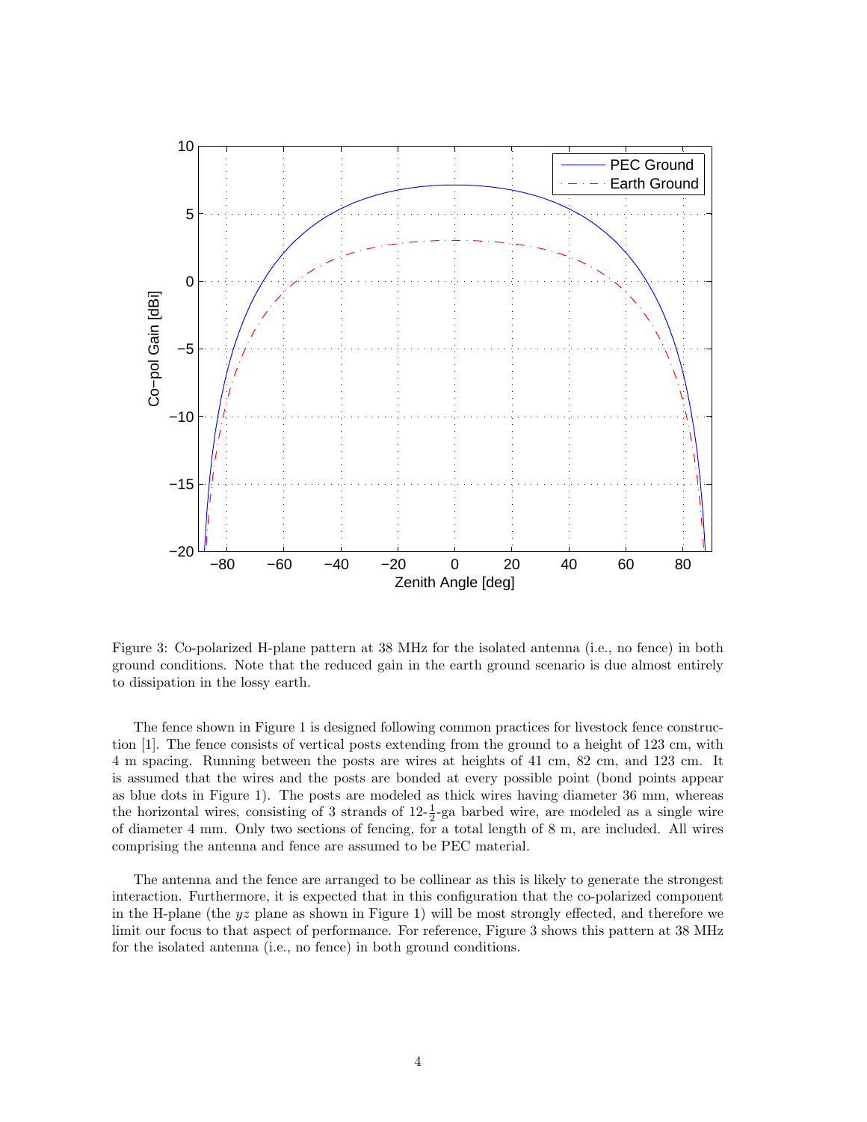

Figure 3: Co-polarized H-plane pattern at 38 MHz for the isolated antenna (i.e., no fence) in both ground conditions. Note that the reduced gain in the earth ground scenario is due almost entirely to dissipation in the lossy earth.

The fence shown in Figure 1 is designed following common practices for livestock fence construction [1]. The fence consists of vertical posts extending from the ground to a height of 123 cm, with 4 m spacing. Running between the posts are wires at heights of 41 cm, 82 cm, and 123 cm. It is assumed that the wires and the posts are bonded at every possible point (bond points appear as blue dots in Figure 1). The posts are modeled as thick wires having diameter 36 mm, whereas the horizontal wires, consisting of 3 strands of  $12-\frac{1}{2}$ -ga barbed wire, are modeled as a single wire of diameter 4 mm. Only two sections of fencing, for a total length of 8 m, are included. All wires comprising the antenna and fence are assumed to be PEC material.

The antenna and the fence are arranged to be collinear as this is likely to generate the strongest interaction. Furthermore, it is expected that in this configuration that the co-polarized component in the H-plane (the  $yz$  plane as shown in Figure 1) will be most strongly effected, and therefore we limit our focus to that aspect of performance. For reference, Figure 3 shows this pattern at 38 MHz for the isolated antenna (i.e., no fence) in both ground conditions.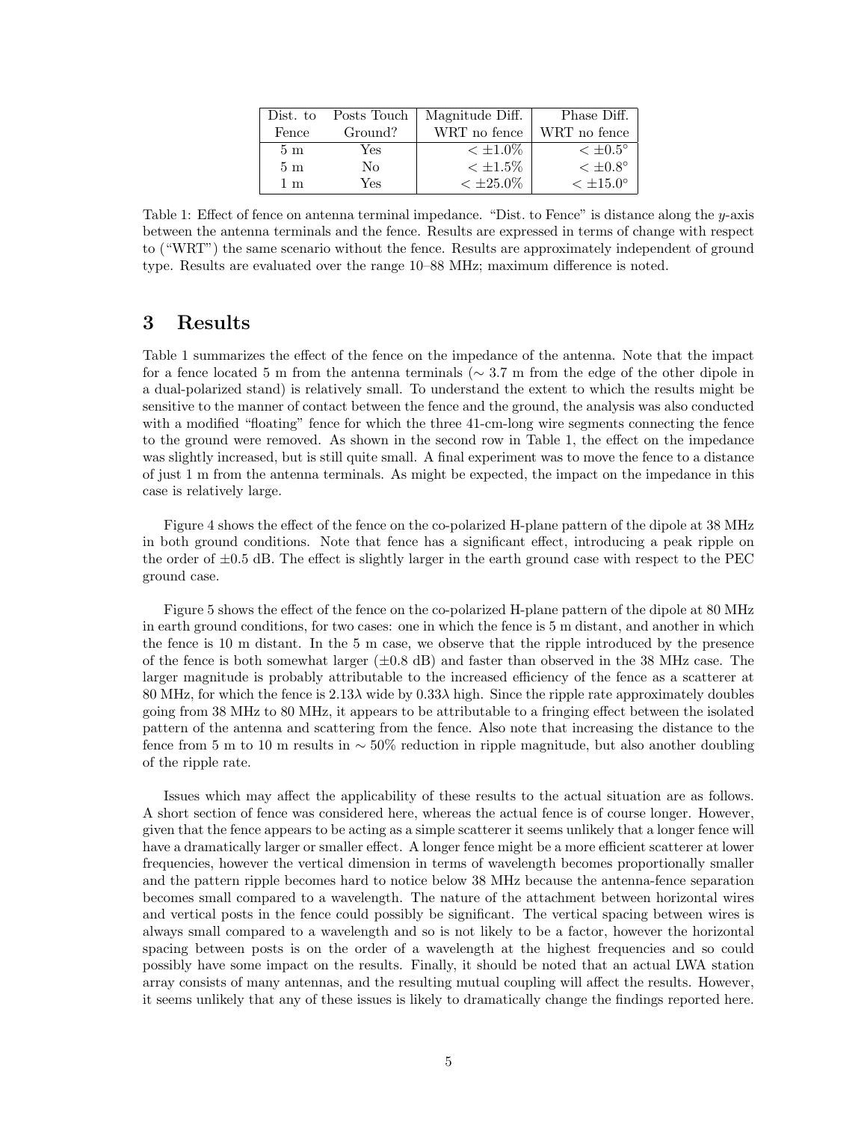| Dist. to       | Posts Touch | Magnitude Diff. | Phase Diff.          |
|----------------|-------------|-----------------|----------------------|
| Fence          | Ground?     | WRT no fence    | WRT no fence         |
| 5 <sub>m</sub> | Yes         | $< \pm 1.0\%$   | $\epsilon$ ±0.5°     |
| 5m             | No          | $< \pm 1.5\%$   | $< \pm 0.8^{\circ}$  |
| $1~\mathrm{m}$ | Yes         | $< \pm 25.0\%$  | $< \pm 15.0^{\circ}$ |

Table 1: Effect of fence on antenna terminal impedance. "Dist. to Fence" is distance along the y-axis between the antenna terminals and the fence. Results are expressed in terms of change with respect to ("WRT") the same scenario without the fence. Results are approximately independent of ground type. Results are evaluated over the range 10–88 MHz; maximum difference is noted.

#### 3 Results

Table 1 summarizes the effect of the fence on the impedance of the antenna. Note that the impact for a fence located 5 m from the antenna terminals ( $\sim$  3.7 m from the edge of the other dipole in a dual-polarized stand) is relatively small. To understand the extent to which the results might be sensitive to the manner of contact between the fence and the ground, the analysis was also conducted with a modified "floating" fence for which the three 41-cm-long wire segments connecting the fence to the ground were removed. As shown in the second row in Table 1, the effect on the impedance was slightly increased, but is still quite small. A final experiment was to move the fence to a distance of just 1 m from the antenna terminals. As might be expected, the impact on the impedance in this case is relatively large.

Figure 4 shows the effect of the fence on the co-polarized H-plane pattern of the dipole at 38 MHz in both ground conditions. Note that fence has a significant effect, introducing a peak ripple on the order of  $\pm 0.5$  dB. The effect is slightly larger in the earth ground case with respect to the PEC ground case.

Figure 5 shows the effect of the fence on the co-polarized H-plane pattern of the dipole at 80 MHz in earth ground conditions, for two cases: one in which the fence is 5 m distant, and another in which the fence is 10 m distant. In the 5 m case, we observe that the ripple introduced by the presence of the fence is both somewhat larger  $(\pm 0.8 \text{ dB})$  and faster than observed in the 38 MHz case. The larger magnitude is probably attributable to the increased efficiency of the fence as a scatterer at 80 MHz, for which the fence is 2.13λ wide by 0.33λ high. Since the ripple rate approximately doubles going from 38 MHz to 80 MHz, it appears to be attributable to a fringing effect between the isolated pattern of the antenna and scattering from the fence. Also note that increasing the distance to the fence from 5 m to 10 m results in  $\sim$  50% reduction in ripple magnitude, but also another doubling of the ripple rate.

Issues which may affect the applicability of these results to the actual situation are as follows. A short section of fence was considered here, whereas the actual fence is of course longer. However, given that the fence appears to be acting as a simple scatterer it seems unlikely that a longer fence will have a dramatically larger or smaller effect. A longer fence might be a more efficient scatterer at lower frequencies, however the vertical dimension in terms of wavelength becomes proportionally smaller and the pattern ripple becomes hard to notice below 38 MHz because the antenna-fence separation becomes small compared to a wavelength. The nature of the attachment between horizontal wires and vertical posts in the fence could possibly be significant. The vertical spacing between wires is always small compared to a wavelength and so is not likely to be a factor, however the horizontal spacing between posts is on the order of a wavelength at the highest frequencies and so could possibly have some impact on the results. Finally, it should be noted that an actual LWA station array consists of many antennas, and the resulting mutual coupling will affect the results. However, it seems unlikely that any of these issues is likely to dramatically change the findings reported here.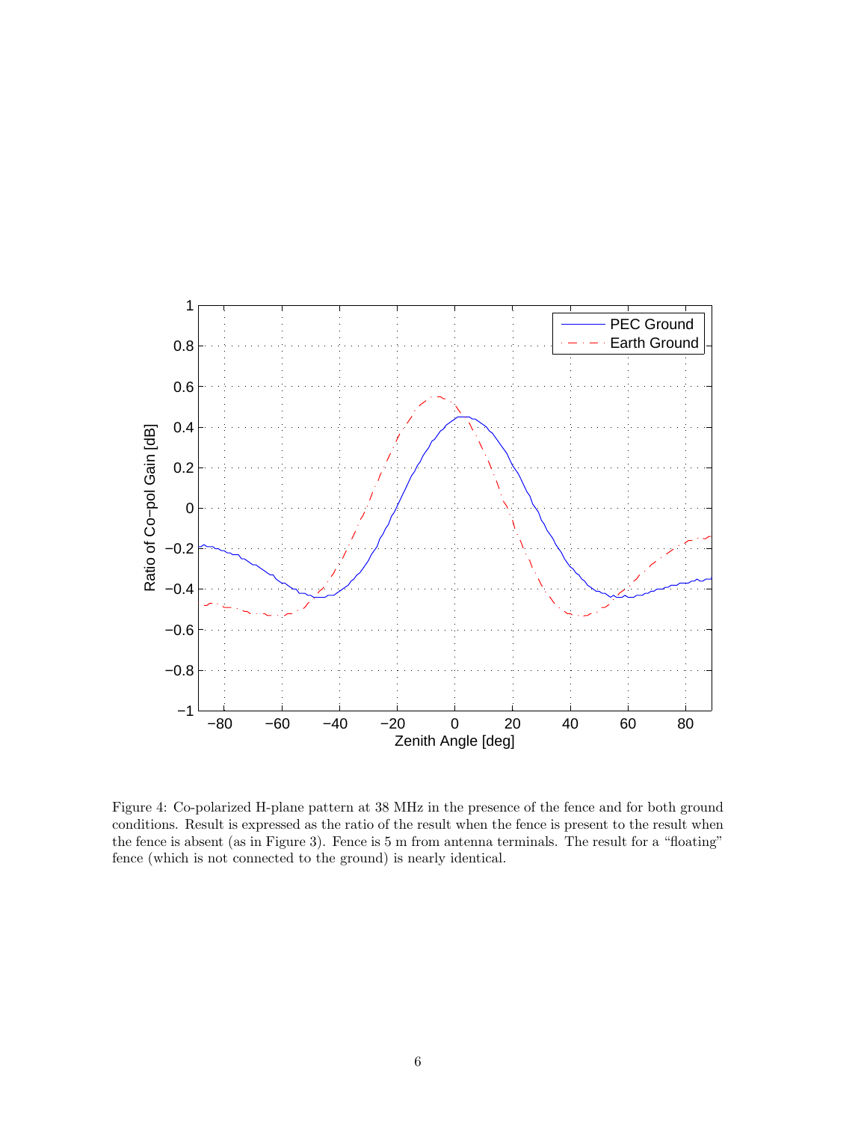

Figure 4: Co-polarized H-plane pattern at 38 MHz in the presence of the fence and for both ground conditions. Result is expressed as the ratio of the result when the fence is present to the result when the fence is absent (as in Figure 3). Fence is 5 m from antenna terminals. The result for a "floating" fence (which is not connected to the ground) is nearly identical.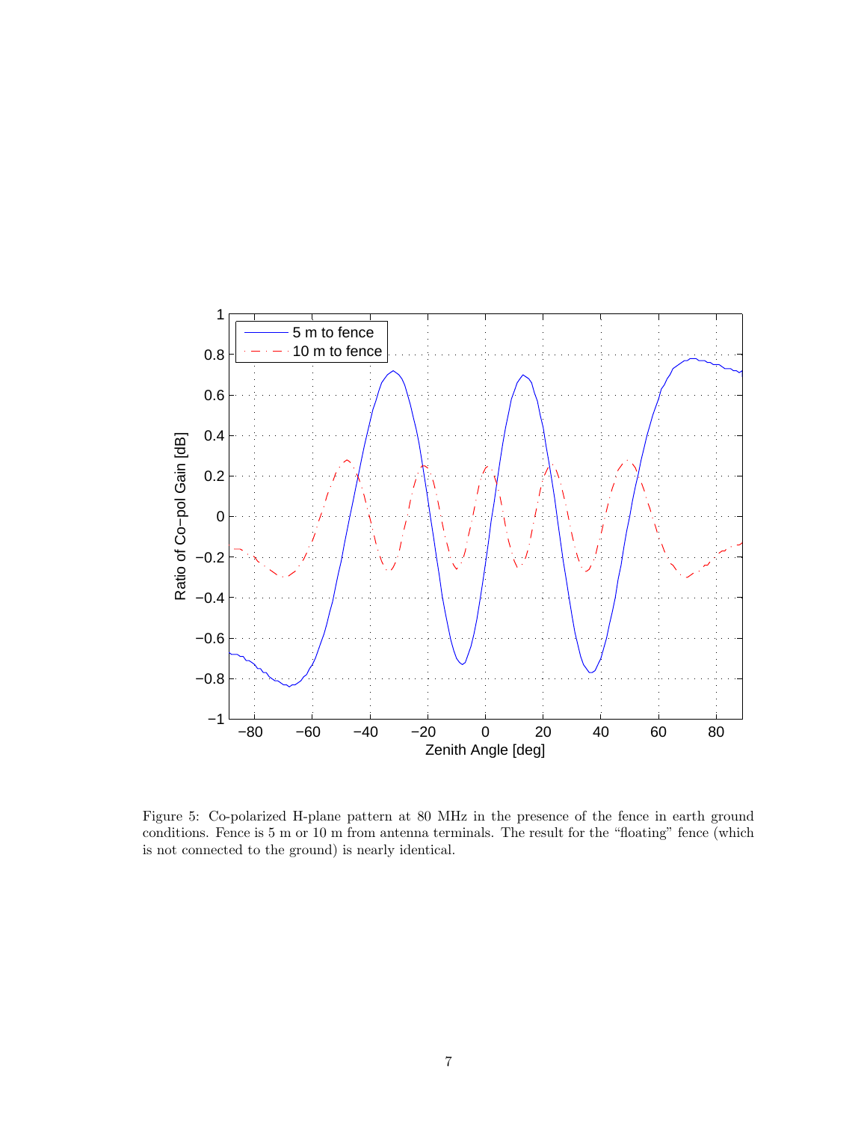

Figure 5: Co-polarized H-plane pattern at 80 MHz in the presence of the fence in earth ground conditions. Fence is 5 m or 10 m from antenna terminals. The result for the "floating" fence (which is not connected to the ground) is nearly identical.